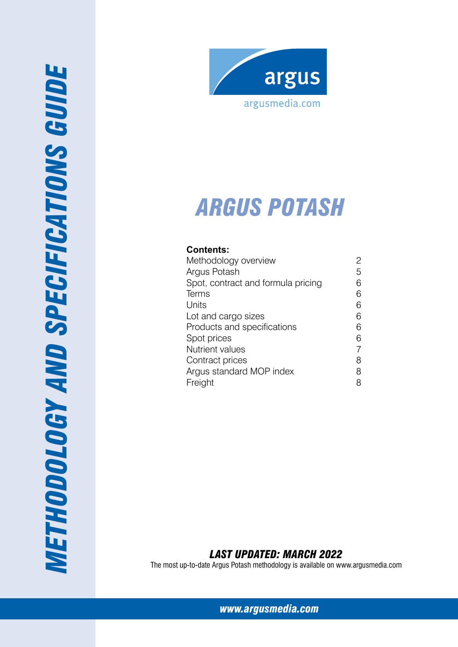

# *ARG US potash*

# **Contents:**

| Methodology overview               |   |
|------------------------------------|---|
| Argus Potash                       | 5 |
| Spot, contract and formula pricing | 6 |
| Terms                              | 6 |
| Units                              | 6 |
| Lot and cargo sizes                | 6 |
| Products and specifications        | 6 |
| Spot prices                        | 6 |
| <b>Nutrient values</b>             |   |
| Contract prices                    | 8 |
| Argus standard MOP index           | 8 |
| Freight                            |   |

# *Last Updated: March 2022*

The most up-to-date Argus Potash methodology is available on www.argusmedia.com

*[www.argusmedia.com](http://www.argusmediagroup.com)*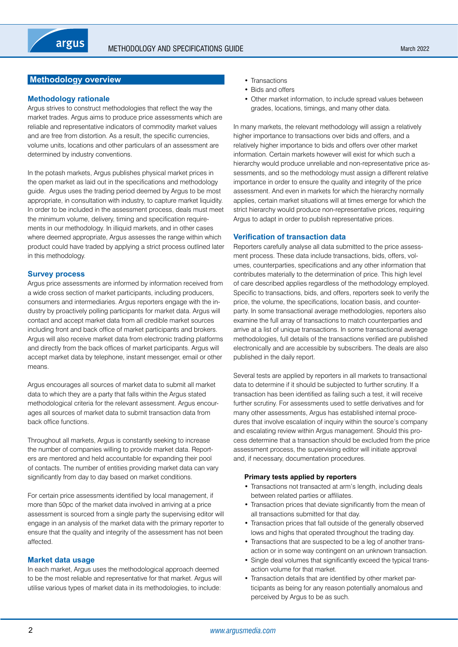# <span id="page-1-0"></span>**Methodology overview**

#### **Methodology rationale**

Argus strives to construct methodologies that reflect the way the market trades. Argus aims to produce price assessments which are reliable and representative indicators of commodity market values and are free from distortion. As a result, the specific currencies, volume units, locations and other particulars of an assessment are determined by industry conventions.

In the potash markets, Argus publishes physical market prices in the open market as laid out in the specifications and methodology guide. Argus uses the trading period deemed by Argus to be most appropriate, in consultation with industry, to capture market liquidity. In order to be included in the assessment process, deals must meet the minimum volume, delivery, timing and specification requirements in our methodology. In illiquid markets, and in other cases where deemed appropriate, Argus assesses the range within which product could have traded by applying a strict process outlined later in this methodology.

#### **Survey process**

Argus price assessments are informed by information received from a wide cross section of market participants, including producers, consumers and intermediaries. Argus reporters engage with the industry by proactively polling participants for market data. Argus will contact and accept market data from all credible market sources including front and back office of market participants and brokers. Argus will also receive market data from electronic trading platforms and directly from the back offices of market participants. Argus will accept market data by telephone, instant messenger, email or other means.

Argus encourages all sources of market data to submit all market data to which they are a party that falls within the Argus stated methodological criteria for the relevant assessment. Argus encourages all sources of market data to submit transaction data from back office functions.

Throughout all markets, Argus is constantly seeking to increase the number of companies willing to provide market data. Reporters are mentored and held accountable for expanding their pool of contacts. The number of entities providing market data can vary significantly from day to day based on market conditions.

For certain price assessments identified by local management, if more than 50pc of the market data involved in arriving at a price assessment is sourced from a single party the supervising editor will engage in an analysis of the market data with the primary reporter to ensure that the quality and integrity of the assessment has not been affected.

#### **Market data usage**

In each market, Argus uses the methodological approach deemed to be the most reliable and representative for that market. Argus will utilise various types of market data in its methodologies, to include:

- Transactions
- Bids and offers
- Other market information, to include spread values between grades, locations, timings, and many other data.

In many markets, the relevant methodology will assign a relatively higher importance to transactions over bids and offers, and a relatively higher importance to bids and offers over other market information. Certain markets however will exist for which such a hierarchy would produce unreliable and non-representative price assessments, and so the methodology must assign a different relative importance in order to ensure the quality and integrity of the price assessment. And even in markets for which the hierarchy normally applies, certain market situations will at times emerge for which the strict hierarchy would produce non-representative prices, requiring Argus to adapt in order to publish representative prices.

#### **Verification of transaction data**

Reporters carefully analyse all data submitted to the price assessment process. These data include transactions, bids, offers, volumes, counterparties, specifications and any other information that contributes materially to the determination of price. This high level of care described applies regardless of the methodology employed. Specific to transactions, bids, and offers, reporters seek to verify the price, the volume, the specifications, location basis, and counterparty. In some transactional average methodologies, reporters also examine the full array of transactions to match counterparties and arrive at a list of unique transactions. In some transactional average methodologies, full details of the transactions verified are published electronically and are accessible by subscribers. The deals are also published in the daily report.

Several tests are applied by reporters in all markets to transactional data to determine if it should be subjected to further scrutiny. If a transaction has been identified as failing such a test, it will receive further scrutiny. For assessments used to settle derivatives and for many other assessments, Argus has established internal procedures that involve escalation of inquiry within the source's company and escalating review within Argus management. Should this process determine that a transaction should be excluded from the price assessment process, the supervising editor will initiate approval and, if necessary, documentation procedures.

#### **Primary tests applied by reporters**

- Transactions not transacted at arm's length, including deals between related parties or affiliates.
- Transaction prices that deviate significantly from the mean of all transactions submitted for that day.
- Transaction prices that fall outside of the generally observed lows and highs that operated throughout the trading day.
- Transactions that are suspected to be a leg of another transaction or in some way contingent on an unknown transaction.
- Single deal volumes that significantly exceed the typical transaction volume for that market.
- Transaction details that are identified by other market participants as being for any reason potentially anomalous and perceived by Argus to be as such.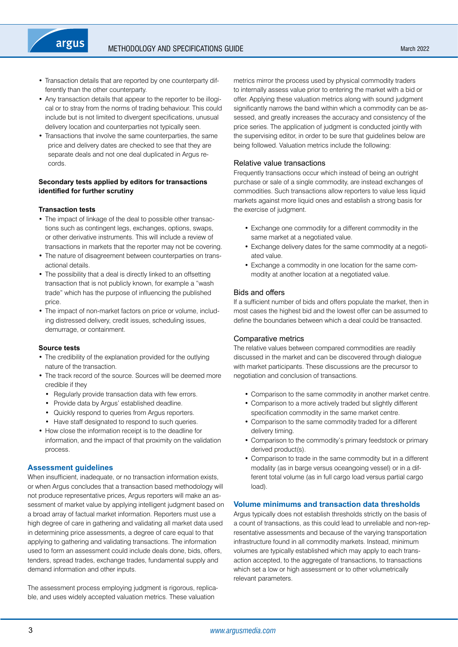- Transaction details that are reported by one counterparty differently than the other counterparty.
- Any transaction details that appear to the reporter to be illogical or to stray from the norms of trading behaviour. This could include but is not limited to divergent specifications, unusual delivery location and counterparties not typically seen.
- Transactions that involve the same counterparties, the same price and delivery dates are checked to see that they are separate deals and not one deal duplicated in Argus records.

## **Secondary tests applied by editors for transactions identified for further scrutiny**

#### **Transaction tests**

argus

- The impact of linkage of the deal to possible other transactions such as contingent legs, exchanges, options, swaps, or other derivative instruments. This will include a review of transactions in markets that the reporter may not be covering.
- The nature of disagreement between counterparties on transactional details.
- The possibility that a deal is directly linked to an offsetting transaction that is not publicly known, for example a "wash trade" which has the purpose of influencing the published price.
- The impact of non-market factors on price or volume, including distressed delivery, credit issues, scheduling issues, demurrage, or containment.

# **Source tests**

- The credibility of the explanation provided for the outlying nature of the transaction.
- The track record of the source. Sources will be deemed more credible if they
	- Regularly provide transaction data with few errors.
	- Provide data by Argus' established deadline.
	- Quickly respond to queries from Argus reporters.
	- Have staff designated to respond to such queries.
- How close the information receipt is to the deadline for information, and the impact of that proximity on the validation process.

#### **Assessment guidelines**

When insufficient, inadequate, or no transaction information exists, or when Argus concludes that a transaction based methodology will not produce representative prices, Argus reporters will make an assessment of market value by applying intelligent judgment based on a broad array of factual market information. Reporters must use a high degree of care in gathering and validating all market data used in determining price assessments, a degree of care equal to that applying to gathering and validating transactions. The information used to form an assessment could include deals done, bids, offers, tenders, spread trades, exchange trades, fundamental supply and demand information and other inputs.

The assessment process employing judgment is rigorous, replicable, and uses widely accepted valuation metrics. These valuation

metrics mirror the process used by physical commodity traders to internally assess value prior to entering the market with a bid or offer. Applying these valuation metrics along with sound judgment significantly narrows the band within which a commodity can be assessed, and greatly increases the accuracy and consistency of the price series. The application of judgment is conducted jointly with the supervising editor, in order to be sure that guidelines below are being followed. Valuation metrics include the following:

#### Relative value transactions

Frequently transactions occur which instead of being an outright purchase or sale of a single commodity, are instead exchanges of commodities. Such transactions allow reporters to value less liquid markets against more liquid ones and establish a strong basis for the exercise of judgment.

- Exchange one commodity for a different commodity in the same market at a negotiated value.
- Exchange delivery dates for the same commodity at a negotiated value.
- Exchange a commodity in one location for the same commodity at another location at a negotiated value.

#### Bids and offers

If a sufficient number of bids and offers populate the market, then in most cases the highest bid and the lowest offer can be assumed to define the boundaries between which a deal could be transacted.

#### Comparative metrics

The relative values between compared commodities are readily discussed in the market and can be discovered through dialogue with market participants. These discussions are the precursor to negotiation and conclusion of transactions.

- Comparison to the same commodity in another market centre.
- Comparison to a more actively traded but slightly different specification commodity in the same market centre.
- Comparison to the same commodity traded for a different delivery timing.
- Comparison to the commodity's primary feedstock or primary derived product(s).
- Comparison to trade in the same commodity but in a different modality (as in barge versus oceangoing vessel) or in a different total volume (as in full cargo load versus partial cargo load).

#### **Volume minimums and transaction data thresholds**

Argus typically does not establish thresholds strictly on the basis of a count of transactions, as this could lead to unreliable and non-representative assessments and because of the varying transportation infrastructure found in all commodity markets. Instead, minimum volumes are typically established which may apply to each transaction accepted, to the aggregate of transactions, to transactions which set a low or high assessment or to other volumetrically relevant parameters.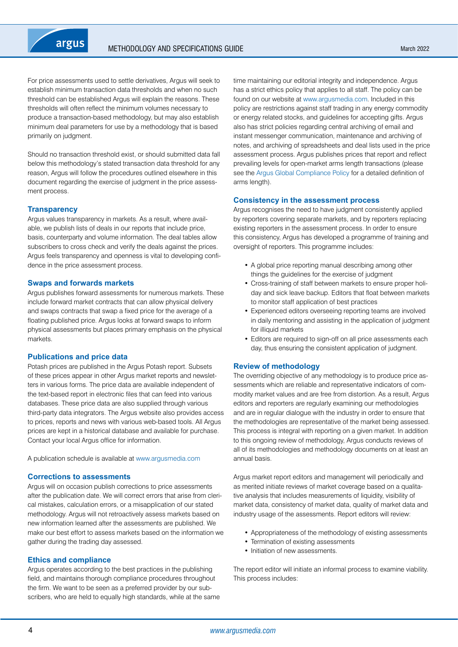

For price assessments used to settle derivatives, Argus will seek to establish minimum transaction data thresholds and when no such threshold can be established Argus will explain the reasons. These thresholds will often reflect the minimum volumes necessary to produce a transaction-based methodology, but may also establish minimum deal parameters for use by a methodology that is based primarily on judgment.

Should no transaction threshold exist, or should submitted data fall below this methodology's stated transaction data threshold for any reason, Argus will follow the procedures outlined elsewhere in this document regarding the exercise of judgment in the price assessment process.

#### **Transparency**

Argus values transparency in markets. As a result, where available, we publish lists of deals in our reports that include price, basis, counterparty and volume information. The deal tables allow subscribers to cross check and verify the deals against the prices. Argus feels transparency and openness is vital to developing confidence in the price assessment process.

#### **Swaps and forwards markets**

Argus publishes forward assessments for numerous markets. These include forward market contracts that can allow physical delivery and swaps contracts that swap a fixed price for the average of a floating published price. Argus looks at forward swaps to inform physical assessments but places primary emphasis on the physical markets.

## **Publications and price data**

Potash prices are published in the Argus Potash report. Subsets of these prices appear in other Argus market reports and newsletters in various forms. The price data are available independent of the text-based report in electronic files that can feed into various databases. These price data are also supplied through various third-party data integrators. The Argus website also provides access to prices, reports and news with various web-based tools. All Argus prices are kept in a historical database and available for purchase. Contact your local Argus office for information.

A publication schedule is available at [www.argusmedia.com](https://www.argusmedia.com/)

#### **Corrections to assessments**

Argus will on occasion publish corrections to price assessments after the publication date. We will correct errors that arise from clerical mistakes, calculation errors, or a misapplication of our stated methodology. Argus will not retroactively assess markets based on new information learned after the assessments are published. We make our best effort to assess markets based on the information we gather during the trading day assessed.

#### **Ethics and compliance**

Argus operates according to the best practices in the publishing field, and maintains thorough compliance procedures throughout the firm. We want to be seen as a preferred provider by our subscribers, who are held to equally high standards, while at the same

time maintaining our editorial integrity and independence. Argus has a strict ethics policy that applies to all staff. The policy can be found on our website at [www.argusmedia.com.](https://www.argusmedia.com/) Included in this policy are restrictions against staff trading in any energy commodity or energy related stocks, and guidelines for accepting gifts. Argus also has strict policies regarding central archiving of email and instant messenger communication, maintenance and archiving of notes, and archiving of spreadsheets and deal lists used in the price assessment process. Argus publishes prices that report and reflect prevailing levels for open-market arms length transactions (please see the [Argus Global Compliance Policy](https://www.argusmedia.com/-/media/Files/governance-and-compliance/global-compliance.ashx?la=en&hash=DB833EADC2BC60A7B262FC13D5E6A4B46CCDAB1E) for a detailed definition of arms length).

#### **Consistency in the assessment process**

Argus recognises the need to have judgment consistently applied by reporters covering separate markets, and by reporters replacing existing reporters in the assessment process. In order to ensure this consistency, Argus has developed a programme of training and oversight of reporters. This programme includes:

- A global price reporting manual describing among other things the guidelines for the exercise of judgment
- Cross-training of staff between markets to ensure proper holiday and sick leave backup. Editors that float between markets to monitor staff application of best practices
- Experienced editors overseeing reporting teams are involved in daily mentoring and assisting in the application of judgment for illiquid markets
- Editors are required to sign-off on all price assessments each day, thus ensuring the consistent application of judgment.

#### **Review of methodology**

The overriding objective of any methodology is to produce price assessments which are reliable and representative indicators of commodity market values and are free from distortion. As a result, Argus editors and reporters are regularly examining our methodologies and are in regular dialogue with the industry in order to ensure that the methodologies are representative of the market being assessed. This process is integral with reporting on a given market. In addition to this ongoing review of methodology, Argus conducts reviews of all of its methodologies and methodology documents on at least an annual basis.

Argus market report editors and management will periodically and as merited initiate reviews of market coverage based on a qualitative analysis that includes measurements of liquidity, visibility of market data, consistency of market data, quality of market data and industry usage of the assessments. Report editors will review:

- Appropriateness of the methodology of existing assessments
- Termination of existing assessments
- Initiation of new assessments.

The report editor will initiate an informal process to examine viability. This process includes: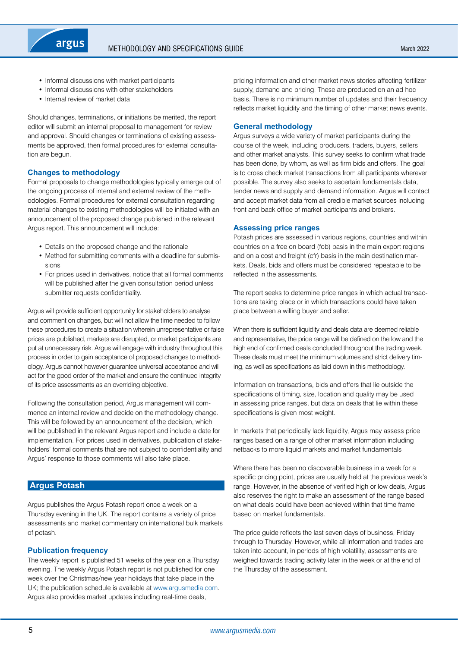<span id="page-4-0"></span>

- Informal discussions with market participants
- Informal discussions with other stakeholders
- Internal review of market data

Should changes, terminations, or initiations be merited, the report editor will submit an internal proposal to management for review and approval. Should changes or terminations of existing assessments be approved, then formal procedures for external consultation are begun.

#### **Changes to methodology**

Formal proposals to change methodologies typically emerge out of the ongoing process of internal and external review of the methodologies. Formal procedures for external consultation regarding material changes to existing methodologies will be initiated with an announcement of the proposed change published in the relevant Argus report. This announcement will include:

- Details on the proposed change and the rationale
- Method for submitting comments with a deadline for submissions
- For prices used in derivatives, notice that all formal comments will be published after the given consultation period unless submitter requests confidentiality.

Argus will provide sufficient opportunity for stakeholders to analyse and comment on changes, but will not allow the time needed to follow these procedures to create a situation wherein unrepresentative or false prices are published, markets are disrupted, or market participants are put at unnecessary risk. Argus will engage with industry throughout this process in order to gain acceptance of proposed changes to methodology. Argus cannot however guarantee universal acceptance and will act for the good order of the market and ensure the continued integrity of its price assessments as an overriding objective.

Following the consultation period, Argus management will commence an internal review and decide on the methodology change. This will be followed by an announcement of the decision, which will be published in the relevant Argus report and include a date for implementation. For prices used in derivatives, publication of stakeholders' formal comments that are not subject to confidentiality and Argus' response to those comments will also take place.

# **Argus Potash**

Argus publishes the Argus Potash report once a week on a Thursday evening in the UK. The report contains a variety of price assessments and market commentary on international bulk markets of potash.

#### **Publication frequency**

The weekly report is published 51 weeks of the year on a Thursday evening. The weekly Argus Potash report is not published for one week over the Christmas/new year holidays that take place in the UK; the publication schedule is available at [www.argusmedia.com](https://www.argusmedia.com/). Argus also provides market updates including real-time deals,

pricing information and other market news stories affecting fertilizer supply, demand and pricing. These are produced on an ad hoc basis. There is no minimum number of updates and their frequency reflects market liquidity and the timing of other market news events.

#### **General methodology**

Argus surveys a wide variety of market participants during the course of the week, including producers, traders, buyers, sellers and other market analysts. This survey seeks to confirm what trade has been done, by whom, as well as firm bids and offers. The goal is to cross check market transactions from all participants wherever possible. The survey also seeks to ascertain fundamentals data, tender news and supply and demand information. Argus will contact and accept market data from all credible market sources including front and back office of market participants and brokers.

## **Assessing price ranges**

Potash prices are assessed in various regions, countries and within countries on a free on board (fob) basis in the main export regions and on a cost and freight (cfr) basis in the main destination markets. Deals, bids and offers must be considered repeatable to be reflected in the assessments.

The report seeks to determine price ranges in which actual transactions are taking place or in which transactions could have taken place between a willing buyer and seller.

When there is sufficient liquidity and deals data are deemed reliable and representative, the price range will be defined on the low and the high end of confirmed deals concluded throughout the trading week. These deals must meet the minimum volumes and strict delivery timing, as well as specifications as laid down in this methodology.

Information on transactions, bids and offers that lie outside the specifications of timing, size, location and quality may be used in assessing price ranges, but data on deals that lie within these specifications is given most weight.

In markets that periodically lack liquidity, Argus may assess price ranges based on a range of other market information including netbacks to more liquid markets and market fundamentals

Where there has been no discoverable business in a week for a specific pricing point, prices are usually held at the previous week's range. However, in the absence of verified high or low deals, Argus also reserves the right to make an assessment of the range based on what deals could have been achieved within that time frame based on market fundamentals.

The price guide reflects the last seven days of business, Friday through to Thursday. However, while all information and trades are taken into account, in periods of high volatility, assessments are weighed towards trading activity later in the week or at the end of the Thursday of the assessment.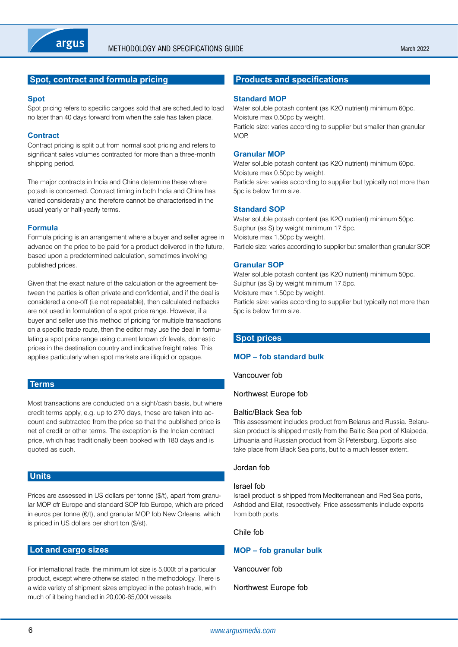<span id="page-5-0"></span>

# **Spot, contract and formula pricing**

#### **Spot**

Spot pricing refers to specific cargoes sold that are scheduled to load no later than 40 days forward from when the sale has taken place.

#### **Contract**

Contract pricing is split out from normal spot pricing and refers to significant sales volumes contracted for more than a three-month shipping period.

The major contracts in India and China determine these where potash is concerned. Contract timing in both India and China has varied considerably and therefore cannot be characterised in the usual yearly or half-yearly terms.

#### **Formula**

Formula pricing is an arrangement where a buyer and seller agree in advance on the price to be paid for a product delivered in the future, based upon a predetermined calculation, sometimes involving published prices.

Given that the exact nature of the calculation or the agreement between the parties is often private and confidential, and if the deal is considered a one-off (i.e not repeatable), then calculated netbacks are not used in formulation of a spot price range. However, if a buyer and seller use this method of pricing for multiple transactions on a specific trade route, then the editor may use the deal in formulating a spot price range using current known cfr levels, domestic prices in the destination country and indicative freight rates. This applies particularly when spot markets are illiquid or opaque.

# **Terms**

Most transactions are conducted on a sight/cash basis, but where credit terms apply, e.g. up to 270 days, these are taken into account and subtracted from the price so that the published price is net of credit or other terms. The exception is the Indian contract price, which has traditionally been booked with 180 days and is quoted as such.

# **Units**

Prices are assessed in US dollars per tonne (\$/t), apart from granular MOP cfr Europe and standard SOP fob Europe, which are priced in euros per tonne (€/t), and granular MOP fob New Orleans, which is priced in US dollars per short ton (\$/st).

# **Lot and cargo sizes**

For international trade, the minimum lot size is 5,000t of a particular product, except where otherwise stated in the methodology. There is a wide variety of shipment sizes employed in the potash trade, with much of it being handled in 20,000-65,000t vessels.

# **Products and specifications**

#### **Standard MOP**

Water soluble potash content (as K2O nutrient) minimum 60pc. Moisture max 0.50pc by weight. Particle size: varies according to supplier but smaller than granular MOP.

#### **Granular MOP**

Water soluble potash content (as K2O nutrient) minimum 60pc. Moisture max 0.50pc by weight. Particle size: varies according to supplier but typically not more than 5pc is below 1mm size.

#### **Standard SOP**

Water soluble potash content (as K2O nutrient) minimum 50pc. Sulphur (as S) by weight minimum 17.5pc. Moisture max 1.50pc by weight. Particle size: varies according to supplier but smaller than granular SOP.

#### **Granular SOP**

Water soluble potash content (as K2O nutrient) minimum 50pc. Sulphur (as S) by weight minimum 17.5pc. Moisture max 1.50pc by weight.

Particle size: varies according to supplier but typically not more than 5pc is below 1mm size.

#### **Spot prices**

# **MOP – fob standard bulk**

Vancouver fob

Northwest Europe fob

## Baltic/Black Sea fob

This assessment includes product from Belarus and Russia. Belarusian product is shipped mostly from the Baltic Sea port of Klaipeda, Lithuania and Russian product from St Petersburg. Exports also take place from Black Sea ports, but to a much lesser extent.

## Jordan fob

#### Israel fob

Israeli product is shipped from Mediterranean and Red Sea ports, Ashdod and Eilat, respectively. Price assessments include exports from both ports.

#### Chile fob

# **MOP – fob granular bulk**

Vancouver fob

Northwest Europe fob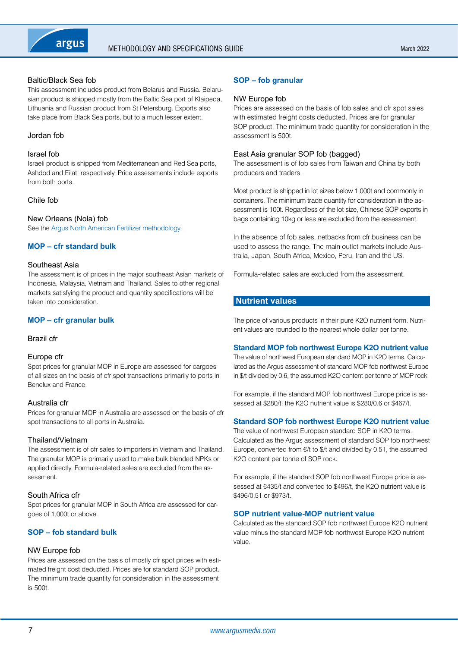<span id="page-6-0"></span>

# Baltic/Black Sea fob

This assessment includes product from Belarus and Russia. Belarusian product is shipped mostly from the Baltic Sea port of Klaipeda, Lithuania and Russian product from St Petersburg. Exports also take place from Black Sea ports, but to a much lesser extent.

#### Jordan fob

#### Israel fob

Israeli product is shipped from Mediterranean and Red Sea ports, Ashdod and Eilat, respectively. Price assessments include exports from both ports.

# Chile fob

# New Orleans (Nola) fob

See the [Argus North American Fertilizer methodology](https://www.argusmedia.com/-/media/Files/methodology/argus-north-american-fertilizer.ashx).

## **MOP – cfr standard bulk**

#### Southeast Asia

The assessment is of prices in the major southeast Asian markets of Indonesia, Malaysia, Vietnam and Thailand. Sales to other regional markets satisfying the product and quantity specifications will be taken into consideration.

# **MOP – cfr granular bulk**

## Brazil cfr

## Europe cfr

Spot prices for granular MOP in Europe are assessed for cargoes of all sizes on the basis of cfr spot transactions primarily to ports in Benelux and France.

#### Australia cfr

Prices for granular MOP in Australia are assessed on the basis of cfr spot transactions to all ports in Australia.

## Thailand/Vietnam

The assessment is of cfr sales to importers in Vietnam and Thailand. The granular MOP is primarily used to make bulk blended NPKs or applied directly. Formula-related sales are excluded from the assessment.

## South Africa cfr

Spot prices for granular MOP in South Africa are assessed for cargoes of 1,000t or above.

# **SOP – fob standard bulk**

## NW Europe fob

Prices are assessed on the basis of mostly cfr spot prices with estimated freight cost deducted. Prices are for standard SOP product. The minimum trade quantity for consideration in the assessment is 500t.

# **SOP – fob granular**

#### NW Europe fob

Prices are assessed on the basis of fob sales and cfr spot sales with estimated freight costs deducted. Prices are for granular SOP product. The minimum trade quantity for consideration in the assessment is 500t.

## East Asia granular SOP fob (bagged)

The assessment is of fob sales from Taiwan and China by both producers and traders.

Most product is shipped in lot sizes below 1,000t and commonly in containers. The minimum trade quantity for consideration in the assessment is 100t. Regardless of the lot size, Chinese SOP exports in bags containing 10kg or less are excluded from the assessment.

In the absence of fob sales, netbacks from cfr business can be used to assess the range. The main outlet markets include Australia, Japan, South Africa, Mexico, Peru, Iran and the US.

Formula-related sales are excluded from the assessment.

## **Nutrient values**

The price of various products in their pure K2O nutrient form. Nutrient values are rounded to the nearest whole dollar per tonne.

## **Standard MOP fob northwest Europe K2O nutrient value**

The value of northwest European standard MOP in K2O terms. Calculated as the Argus assessment of standard MOP fob northwest Europe in \$/t divided by 0.6, the assumed K2O content per tonne of MOP rock.

For example, if the standard MOP fob northwest Europe price is assessed at \$280/t, the K2O nutrient value is \$280/0.6 or \$467/t.

## **Standard SOP fob northwest Europe K2O nutrient value**

The value of northwest European standard SOP in K2O terms. Calculated as the Argus assessment of standard SOP fob northwest Europe, converted from  $\epsilon/t$  to  $\frac{1}{2}$  and divided by 0.51, the assumed K2O content per tonne of SOP rock.

For example, if the standard SOP fob northwest Europe price is assessed at €435/t and converted to \$496/t, the K2O nutrient value is \$496/0.51 or \$973/t.

## **SOP nutrient value-MOP nutrient value**

Calculated as the standard SOP fob northwest Europe K2O nutrient value minus the standard MOP fob northwest Europe K2O nutrient value.